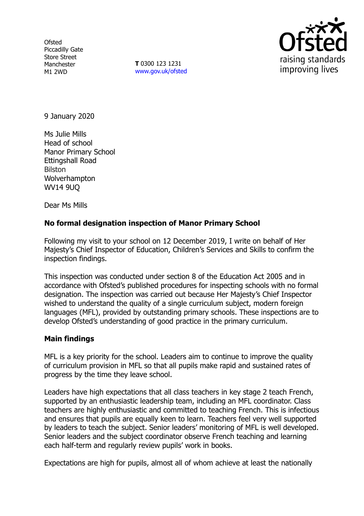**Ofsted** Piccadilly Gate Store Street Manchester M1 2WD

**T** 0300 123 1231 www.gov.uk/ofsted



9 January 2020

Ms Julie Mills Head of school Manor Primary School Ettingshall Road Bilston Wolverhampton WV14 9UQ

Dear Ms Mills

# **No formal designation inspection of Manor Primary School**

Following my visit to your school on 12 December 2019, I write on behalf of Her Majesty's Chief Inspector of Education, Children's Services and Skills to confirm the inspection findings.

This inspection was conducted under section 8 of the Education Act 2005 and in accordance with Ofsted's published procedures for inspecting schools with no formal designation. The inspection was carried out because Her Majesty's Chief Inspector wished to understand the quality of a single curriculum subject, modern foreign languages (MFL), provided by outstanding primary schools. These inspections are to develop Ofsted's understanding of good practice in the primary curriculum.

### **Main findings**

MFL is a key priority for the school. Leaders aim to continue to improve the quality of curriculum provision in MFL so that all pupils make rapid and sustained rates of progress by the time they leave school.

Leaders have high expectations that all class teachers in key stage 2 teach French, supported by an enthusiastic leadership team, including an MFL coordinator. Class teachers are highly enthusiastic and committed to teaching French. This is infectious and ensures that pupils are equally keen to learn. Teachers feel very well supported by leaders to teach the subject. Senior leaders' monitoring of MFL is well developed. Senior leaders and the subject coordinator observe French teaching and learning each half-term and regularly review pupils' work in books.

Expectations are high for pupils, almost all of whom achieve at least the nationally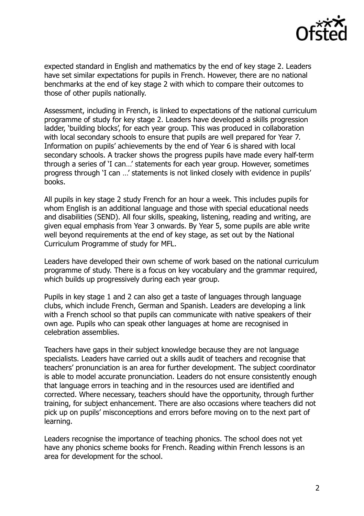

expected standard in English and mathematics by the end of key stage 2. Leaders have set similar expectations for pupils in French. However, there are no national benchmarks at the end of key stage 2 with which to compare their outcomes to those of other pupils nationally.

Assessment, including in French, is linked to expectations of the national curriculum programme of study for key stage 2. Leaders have developed a skills progression ladder, 'building blocks', for each year group. This was produced in collaboration with local secondary schools to ensure that pupils are well prepared for Year 7. Information on pupils' achievements by the end of Year 6 is shared with local secondary schools. A tracker shows the progress pupils have made every half-term through a series of 'I can…' statements for each year group. However, sometimes progress through 'I can …' statements is not linked closely with evidence in pupils' books.

All pupils in key stage 2 study French for an hour a week. This includes pupils for whom English is an additional language and those with special educational needs and disabilities (SEND). All four skills, speaking, listening, reading and writing, are given equal emphasis from Year 3 onwards. By Year 5, some pupils are able write well beyond requirements at the end of key stage, as set out by the National Curriculum Programme of study for MFL.

Leaders have developed their own scheme of work based on the national curriculum programme of study. There is a focus on key vocabulary and the grammar required, which builds up progressively during each year group.

Pupils in key stage 1 and 2 can also get a taste of languages through language clubs, which include French, German and Spanish. Leaders are developing a link with a French school so that pupils can communicate with native speakers of their own age. Pupils who can speak other languages at home are recognised in celebration assemblies.

Teachers have gaps in their subject knowledge because they are not language specialists. Leaders have carried out a skills audit of teachers and recognise that teachers' pronunciation is an area for further development. The subject coordinator is able to model accurate pronunciation. Leaders do not ensure consistently enough that language errors in teaching and in the resources used are identified and corrected. Where necessary, teachers should have the opportunity, through further training, for subject enhancement. There are also occasions where teachers did not pick up on pupils' misconceptions and errors before moving on to the next part of learning.

Leaders recognise the importance of teaching phonics. The school does not yet have any phonics scheme books for French. Reading within French lessons is an area for development for the school.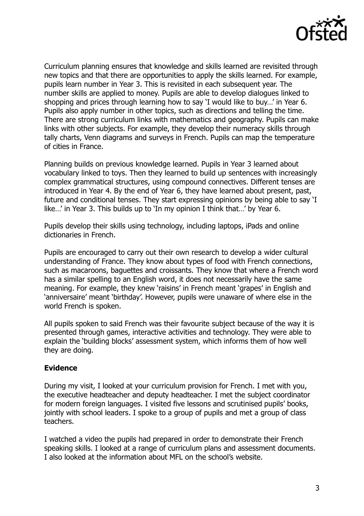

Curriculum planning ensures that knowledge and skills learned are revisited through new topics and that there are opportunities to apply the skills learned. For example, pupils learn number in Year 3. This is revisited in each subsequent year. The number skills are applied to money. Pupils are able to develop dialogues linked to shopping and prices through learning how to say 'I would like to buy…' in Year 6. Pupils also apply number in other topics, such as directions and telling the time. There are strong curriculum links with mathematics and geography. Pupils can make links with other subjects. For example, they develop their numeracy skills through tally charts, Venn diagrams and surveys in French. Pupils can map the temperature of cities in France.

Planning builds on previous knowledge learned. Pupils in Year 3 learned about vocabulary linked to toys. Then they learned to build up sentences with increasingly complex grammatical structures, using compound connectives. Different tenses are introduced in Year 4. By the end of Year 6, they have learned about present, past, future and conditional tenses. They start expressing opinions by being able to say 'I like…' in Year 3. This builds up to 'In my opinion I think that…' by Year 6.

Pupils develop their skills using technology, including laptops, iPads and online dictionaries in French.

Pupils are encouraged to carry out their own research to develop a wider cultural understanding of France. They know about types of food with French connections, such as macaroons, baguettes and croissants. They know that where a French word has a similar spelling to an English word, it does not necessarily have the same meaning. For example, they knew 'raisins' in French meant 'grapes' in English and 'anniversaire' meant 'birthday'. However, pupils were unaware of where else in the world French is spoken.

All pupils spoken to said French was their favourite subject because of the way it is presented through games, interactive activities and technology. They were able to explain the 'building blocks' assessment system, which informs them of how well they are doing.

### **Evidence**

During my visit, I looked at your curriculum provision for French. I met with you, the executive headteacher and deputy headteacher. I met the subject coordinator for modern foreign languages. I visited five lessons and scrutinised pupils' books, jointly with school leaders. I spoke to a group of pupils and met a group of class teachers.

I watched a video the pupils had prepared in order to demonstrate their French speaking skills. I looked at a range of curriculum plans and assessment documents. I also looked at the information about MFL on the school's website.